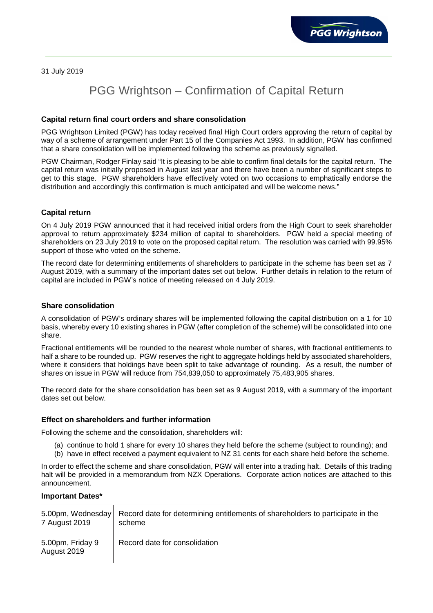31 July 2019

# PGG Wrightson – Confirmation of Capital Return

## **Capital return final court orders and share consolidation**

PGG Wrightson Limited (PGW) has today received final High Court orders approving the return of capital by way of a scheme of arrangement under Part 15 of the Companies Act 1993. In addition, PGW has confirmed that a share consolidation will be implemented following the scheme as previously signalled.

PGW Chairman, Rodger Finlay said "It is pleasing to be able to confirm final details for the capital return. The capital return was initially proposed in August last year and there have been a number of significant steps to get to this stage. PGW shareholders have effectively voted on two occasions to emphatically endorse the distribution and accordingly this confirmation is much anticipated and will be welcome news."

### **Capital return**

On 4 July 2019 PGW announced that it had received initial orders from the High Court to seek shareholder approval to return approximately \$234 million of capital to shareholders. PGW held a special meeting of shareholders on 23 July 2019 to vote on the proposed capital return. The resolution was carried with 99.95% support of those who voted on the scheme.

The record date for determining entitlements of shareholders to participate in the scheme has been set as 7 August 2019, with a summary of the important dates set out below. Further details in relation to the return of capital are included in PGW's notice of meeting released on 4 July 2019.

#### **Share consolidation**

A consolidation of PGW's ordinary shares will be implemented following the capital distribution on a 1 for 10 basis, whereby every 10 existing shares in PGW (after completion of the scheme) will be consolidated into one share.

Fractional entitlements will be rounded to the nearest whole number of shares, with fractional entitlements to half a share to be rounded up. PGW reserves the right to aggregate holdings held by associated shareholders, where it considers that holdings have been split to take advantage of rounding. As a result, the number of shares on issue in PGW will reduce from 754,839,050 to approximately 75,483,905 shares.

The record date for the share consolidation has been set as 9 August 2019, with a summary of the important dates set out below.

#### **Effect on shareholders and further information**

Following the scheme and the consolidation, shareholders will:

- (a) continue to hold 1 share for every 10 shares they held before the scheme (subject to rounding); and
- (b) have in effect received a payment equivalent to NZ 31 cents for each share held before the scheme.

In order to effect the scheme and share consolidation, PGW will enter into a trading halt. Details of this trading halt will be provided in a memorandum from NZX Operations. Corporate action notices are attached to this announcement.

#### **Important Dates\***

| 5.00pm, Wednesday               | Record date for determining entitlements of shareholders to participate in the |
|---------------------------------|--------------------------------------------------------------------------------|
| 7 August 2019                   | scheme                                                                         |
| 5.00pm, Friday 9<br>August 2019 | Record date for consolidation                                                  |